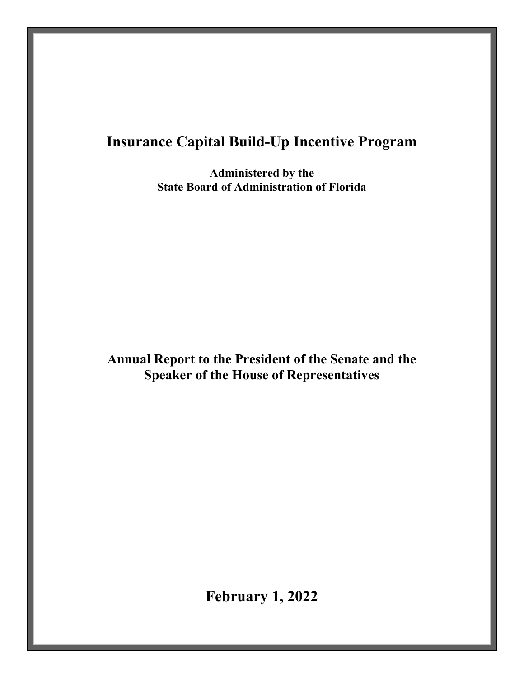# **Insurance Capital Build-Up Incentive Program**

**Administered by the State Board of Administration of Florida**

**Annual Report to the President of the Senate and the Speaker of the House of Representatives**

**February 1, 2022**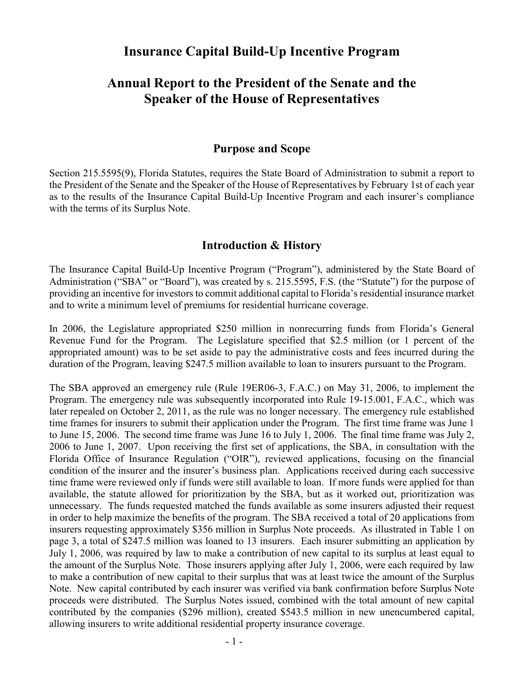# **Insurance Capital Build-Up Incentive Program**

# **Annual Report to the President of the Senate and the Speaker of the House of Representatives**

## **Purpose and Scope**

Section 215.5595(9), Florida Statutes, requires the State Board of Administration to submit a report to the President of the Senate and the Speaker of the House of Representatives by February 1st of each year as to the results of the Insurance Capital Build-Up Incentive Program and each insurer's compliance with the terms of its Surplus Note.

## **Introduction & History**

The Insurance Capital Build-Up Incentive Program ("Program"), administered by the State Board of Administration ("SBA" or "Board"), was created by s. 215.5595, F.S. (the "Statute") for the purpose of providing an incentive for investors to commit additional capital to Florida's residential insurance market and to write a minimum level of premiums for residential hurricane coverage.

In 2006, the Legislature appropriated \$250 million in nonrecurring funds from Florida's General Revenue Fund for the Program. The Legislature specified that \$2.5 million (or 1 percent of the appropriated amount) was to be set aside to pay the administrative costs and fees incurred during the duration of the Program, leaving \$247.5 million available to loan to insurers pursuant to the Program.

The SBA approved an emergency rule (Rule 19ER06-3, F.A.C.) on May 31, 2006, to implement the Program. The emergency rule was subsequently incorporated into Rule 19-15.001, F.A.C., which was later repealed on October 2, 2011, as the rule was no longer necessary. The emergency rule established time frames for insurers to submit their application under the Program. The first time frame was June 1 to June 15, 2006. The second time frame was June 16 to July 1, 2006. The final time frame was July 2, 2006 to June 1, 2007. Upon receiving the first set of applications, the SBA, in consultation with the Florida Office of Insurance Regulation ("OIR"), reviewed applications, focusing on the financial condition of the insurer and the insurer's business plan. Applications received during each successive time frame were reviewed only if funds were still available to loan. If more funds were applied for than available, the statute allowed for prioritization by the SBA, but as it worked out, prioritization was unnecessary. The funds requested matched the funds available as some insurers adjusted their request in order to help maximize the benefits of the program. The SBA received a total of 20 applications from insurers requesting approximately \$356 million in Surplus Note proceeds. As illustrated in Table 1 on page 3, a total of \$247.5 million was loaned to 13 insurers. Each insurer submitting an application by July 1, 2006, was required by law to make a contribution of new capital to its surplus at least equal to the amount of the Surplus Note. Those insurers applying after July 1, 2006, were each required by law to make a contribution of new capital to their surplus that was at least twice the amount of the Surplus Note. New capital contributed by each insurer was verified via bank confirmation before Surplus Note proceeds were distributed. The Surplus Notes issued, combined with the total amount of new capital contributed by the companies (\$296 million), created \$543.5 million in new unencumbered capital, allowing insurers to write additional residential property insurance coverage.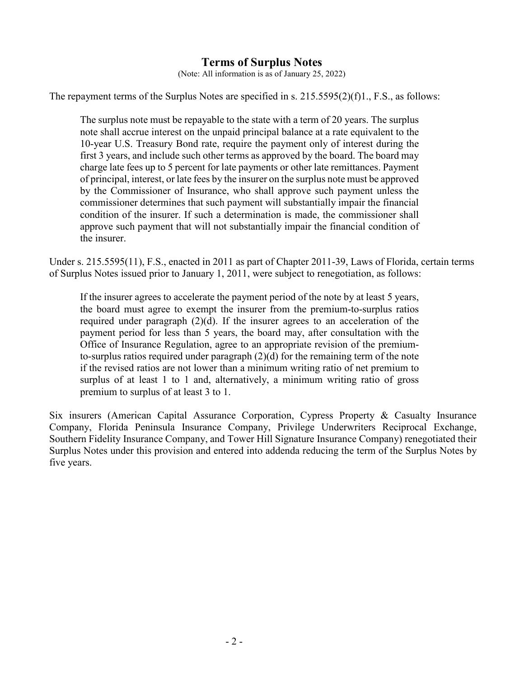# **Terms of Surplus Notes**

(Note: All information is as of January 25, 2022)

The repayment terms of the Surplus Notes are specified in s. 215.5595(2)(f)1., F.S., as follows:

The surplus note must be repayable to the state with a term of 20 years. The surplus note shall accrue interest on the unpaid principal balance at a rate equivalent to the 10-year U.S. Treasury Bond rate, require the payment only of interest during the first 3 years, and include such other terms as approved by the board. The board may charge late fees up to 5 percent for late payments or other late remittances. Payment of principal, interest, or late fees by the insurer on the surplus note must be approved by the Commissioner of Insurance, who shall approve such payment unless the commissioner determines that such payment will substantially impair the financial condition of the insurer. If such a determination is made, the commissioner shall approve such payment that will not substantially impair the financial condition of the insurer.

Under s. 215.5595(11), F.S., enacted in 2011 as part of Chapter 2011-39, Laws of Florida, certain terms of Surplus Notes issued prior to January 1, 2011, were subject to renegotiation, as follows:

If the insurer agrees to accelerate the payment period of the note by at least 5 years, the board must agree to exempt the insurer from the premium-to-surplus ratios required under paragraph (2)(d). If the insurer agrees to an acceleration of the payment period for less than 5 years, the board may, after consultation with the Office of Insurance Regulation, agree to an appropriate revision of the premiumto-surplus ratios required under paragraph (2)(d) for the remaining term of the note if the revised ratios are not lower than a minimum writing ratio of net premium to surplus of at least 1 to 1 and, alternatively, a minimum writing ratio of gross premium to surplus of at least 3 to 1.

Six insurers (American Capital Assurance Corporation, Cypress Property & Casualty Insurance Company, Florida Peninsula Insurance Company, Privilege Underwriters Reciprocal Exchange, Southern Fidelity Insurance Company, and Tower Hill Signature Insurance Company) renegotiated their Surplus Notes under this provision and entered into addenda reducing the term of the Surplus Notes by five years.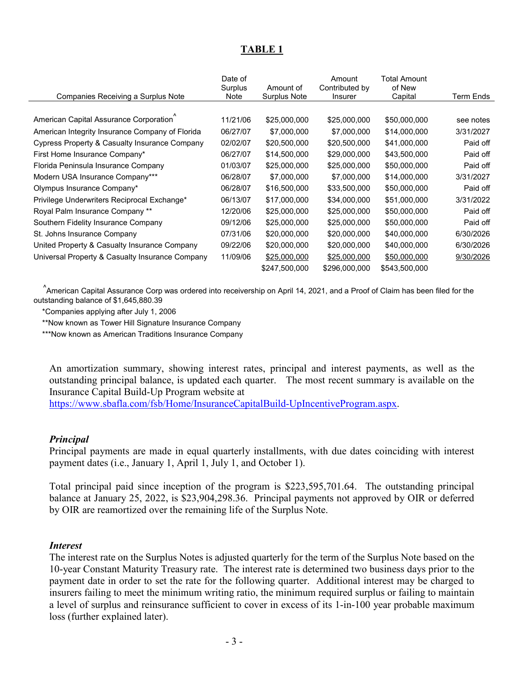# **TABLE 1**

|                                                 | Date of<br>Surplus | Amount of     | Amount<br>Contributed by | <b>Total Amount</b><br>of New |           |
|-------------------------------------------------|--------------------|---------------|--------------------------|-------------------------------|-----------|
| Companies Receiving a Surplus Note              | Note               | Surplus Note  | Insurer                  | Capital                       | Term Ends |
|                                                 |                    |               |                          |                               |           |
| American Capital Assurance Corporation          | 11/21/06           | \$25,000,000  | \$25,000,000             | \$50,000,000                  | see notes |
| American Integrity Insurance Company of Florida | 06/27/07           | \$7,000,000   | \$7,000,000              | \$14,000,000                  | 3/31/2027 |
| Cypress Property & Casualty Insurance Company   | 02/02/07           | \$20,500,000  | \$20,500,000             | \$41,000,000                  | Paid off  |
| First Home Insurance Company*                   | 06/27/07           | \$14,500,000  | \$29,000,000             | \$43,500,000                  | Paid off  |
| Florida Peninsula Insurance Company             | 01/03/07           | \$25,000,000  | \$25,000,000             | \$50,000,000                  | Paid off  |
| Modern USA Insurance Company***                 | 06/28/07           | \$7,000,000   | \$7,000,000              | \$14,000,000                  | 3/31/2027 |
| Olympus Insurance Company*                      | 06/28/07           | \$16,500,000  | \$33,500,000             | \$50,000,000                  | Paid off  |
| Privilege Underwriters Reciprocal Exchange*     | 06/13/07           | \$17,000,000  | \$34,000,000             | \$51,000,000                  | 3/31/2022 |
| Royal Palm Insurance Company **                 | 12/20/06           | \$25,000,000  | \$25,000,000             | \$50,000,000                  | Paid off  |
| Southern Fidelity Insurance Company             | 09/12/06           | \$25,000,000  | \$25,000,000             | \$50,000,000                  | Paid off  |
| St. Johns Insurance Company                     | 07/31/06           | \$20,000,000  | \$20,000,000             | \$40,000,000                  | 6/30/2026 |
| United Property & Casualty Insurance Company    | 09/22/06           | \$20,000,000  | \$20,000,000             | \$40,000,000                  | 6/30/2026 |
| Universal Property & Casualty Insurance Company | 11/09/06           | \$25,000,000  | \$25,000,000             | \$50,000,000                  | 9/30/2026 |
|                                                 |                    | \$247,500,000 | \$296,000,000            | \$543,500,000                 |           |

 ^ American Capital Assurance Corp was ordered into receivership on April 14, 2021, and a Proof of Claim has been filed for the outstanding balance of \$1,645,880.39

\*Companies applying after July 1, 2006

\*\*Now known as Tower Hill Signature Insurance Company

\*\*\*Now known as American Traditions Insurance Company

An amortization summary, showing interest rates, principal and interest payments, as well as the outstanding principal balance, is updated each quarter. The most recent summary is available on the Insurance Capital Build-Up Program website at

[https://www.sbafla.com/fsb/Home/InsuranceCapitalBuild-UpIncentiveProgram.aspx.](https://www.sbafla.com/fsb/Home/InsuranceCapitalBuild-UpIncentiveProgram.aspx)

#### *Principal*

Principal payments are made in equal quarterly installments, with due dates coinciding with interest payment dates (i.e., January 1, April 1, July 1, and October 1).

Total principal paid since inception of the program is \$223,595,701.64. The outstanding principal balance at January 25, 2022, is \$23,904,298.36. Principal payments not approved by OIR or deferred by OIR are reamortized over the remaining life of the Surplus Note.

#### *Interest*

The interest rate on the Surplus Notes is adjusted quarterly for the term of the Surplus Note based on the 10-year Constant Maturity Treasury rate. The interest rate is determined two business days prior to the payment date in order to set the rate for the following quarter. Additional interest may be charged to insurers failing to meet the minimum writing ratio, the minimum required surplus or failing to maintain a level of surplus and reinsurance sufficient to cover in excess of its 1-in-100 year probable maximum loss (further explained later).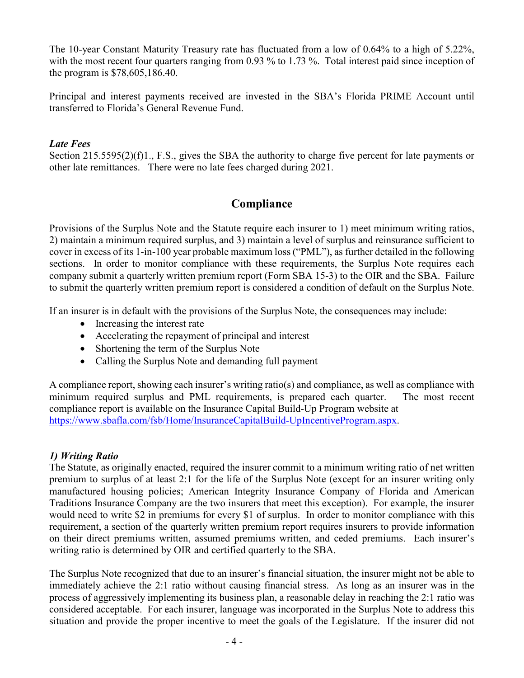The 10-year Constant Maturity Treasury rate has fluctuated from a low of 0.64% to a high of 5.22%, with the most recent four quarters ranging from 0.93 % to 1.73 %. Total interest paid since inception of the program is \$78,605,186.40.

Principal and interest payments received are invested in the SBA's Florida PRIME Account until transferred to Florida's General Revenue Fund.

# *Late Fees*

Section 215.5595(2)(f)1., F.S., gives the SBA the authority to charge five percent for late payments or other late remittances. There were no late fees charged during 2021.

# **Compliance**

Provisions of the Surplus Note and the Statute require each insurer to 1) meet minimum writing ratios, 2) maintain a minimum required surplus, and 3) maintain a level of surplus and reinsurance sufficient to cover in excess of its 1-in-100 year probable maximum loss ("PML"), as further detailed in the following sections. In order to monitor compliance with these requirements, the Surplus Note requires each company submit a quarterly written premium report (Form SBA 15-3) to the OIR and the SBA. Failure to submit the quarterly written premium report is considered a condition of default on the Surplus Note.

If an insurer is in default with the provisions of the Surplus Note, the consequences may include:

- Increasing the interest rate
- Accelerating the repayment of principal and interest
- Shortening the term of the Surplus Note
- Calling the Surplus Note and demanding full payment

A compliance report, showing each insurer's writing ratio(s) and compliance, as well as compliance with minimum required surplus and PML requirements, is prepared each quarter. The most recent compliance report is available on the Insurance Capital Build-Up Program website at [https://www.sbafla.com/fsb/Home/InsuranceCapitalBuild-UpIncentiveProgram.aspx.](https://www.sbafla.com/fsb/Home/InsuranceCapitalBuild-UpIncentiveProgram.aspx)

# *1) Writing Ratio*

The Statute, as originally enacted, required the insurer commit to a minimum writing ratio of net written premium to surplus of at least 2:1 for the life of the Surplus Note (except for an insurer writing only manufactured housing policies; American Integrity Insurance Company of Florida and American Traditions Insurance Company are the two insurers that meet this exception). For example, the insurer would need to write \$2 in premiums for every \$1 of surplus. In order to monitor compliance with this requirement, a section of the quarterly written premium report requires insurers to provide information on their direct premiums written, assumed premiums written, and ceded premiums. Each insurer's writing ratio is determined by OIR and certified quarterly to the SBA.

The Surplus Note recognized that due to an insurer's financial situation, the insurer might not be able to immediately achieve the 2:1 ratio without causing financial stress. As long as an insurer was in the process of aggressively implementing its business plan, a reasonable delay in reaching the 2:1 ratio was considered acceptable. For each insurer, language was incorporated in the Surplus Note to address this situation and provide the proper incentive to meet the goals of the Legislature. If the insurer did not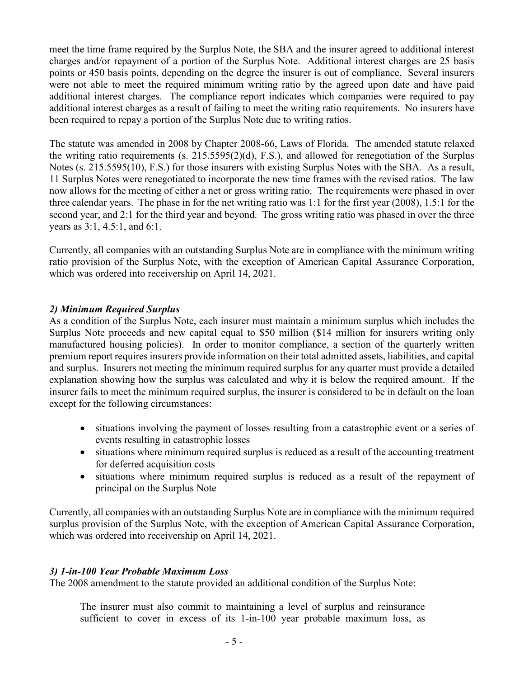meet the time frame required by the Surplus Note, the SBA and the insurer agreed to additional interest charges and/or repayment of a portion of the Surplus Note. Additional interest charges are 25 basis points or 450 basis points, depending on the degree the insurer is out of compliance. Several insurers were not able to meet the required minimum writing ratio by the agreed upon date and have paid additional interest charges. The compliance report indicates which companies were required to pay additional interest charges as a result of failing to meet the writing ratio requirements. No insurers have been required to repay a portion of the Surplus Note due to writing ratios.

The statute was amended in 2008 by Chapter 2008-66, Laws of Florida. The amended statute relaxed the writing ratio requirements (s. 215.5595(2)(d), F.S.), and allowed for renegotiation of the Surplus Notes (s. 215.5595(10), F.S.) for those insurers with existing Surplus Notes with the SBA. As a result, 11 Surplus Notes were renegotiated to incorporate the new time frames with the revised ratios. The law now allows for the meeting of either a net or gross writing ratio. The requirements were phased in over three calendar years. The phase in for the net writing ratio was 1:1 for the first year (2008), 1.5:1 for the second year, and 2:1 for the third year and beyond. The gross writing ratio was phased in over the three years as 3:1, 4.5:1, and 6:1.

Currently, all companies with an outstanding Surplus Note are in compliance with the minimum writing ratio provision of the Surplus Note, with the exception of American Capital Assurance Corporation, which was ordered into receivership on April 14, 2021.

## *2) Minimum Required Surplus*

As a condition of the Surplus Note, each insurer must maintain a minimum surplus which includes the Surplus Note proceeds and new capital equal to \$50 million (\$14 million for insurers writing only manufactured housing policies). In order to monitor compliance, a section of the quarterly written premium report requires insurers provide information on their total admitted assets, liabilities, and capital and surplus. Insurers not meeting the minimum required surplus for any quarter must provide a detailed explanation showing how the surplus was calculated and why it is below the required amount. If the insurer fails to meet the minimum required surplus, the insurer is considered to be in default on the loan except for the following circumstances:

- situations involving the payment of losses resulting from a catastrophic event or a series of events resulting in catastrophic losses
- situations where minimum required surplus is reduced as a result of the accounting treatment for deferred acquisition costs
- situations where minimum required surplus is reduced as a result of the repayment of principal on the Surplus Note

Currently, all companies with an outstanding Surplus Note are in compliance with the minimum required surplus provision of the Surplus Note, with the exception of American Capital Assurance Corporation, which was ordered into receivership on April 14, 2021.

### *3) 1-in-100 Year Probable Maximum Loss*

The 2008 amendment to the statute provided an additional condition of the Surplus Note:

The insurer must also commit to maintaining a level of surplus and reinsurance sufficient to cover in excess of its 1-in-100 year probable maximum loss, as